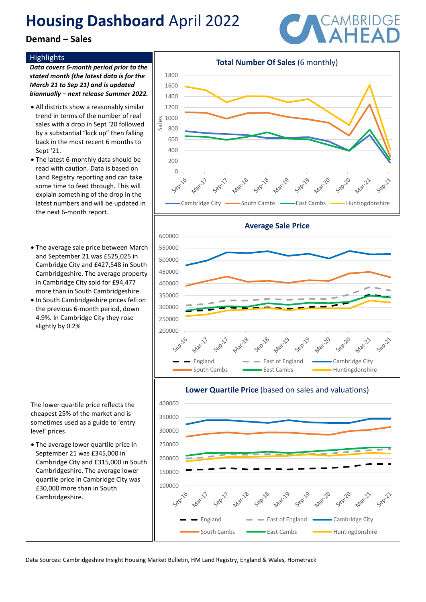## **Demand – Sales**

### **Highlights**

*Data covers 6-month period prior to the stated month (the latest data is for the March 21 to Sep 21) and is updated biannually – next release Summer 2022.*

- All districts show a reasonably similar trend in terms of the number of real sales with a drop in Sept '20 followed by a substantial "kick up" then falling back in the most recent 6 months to Sept '21.
- The latest 6-monthly data should be read with caution. Data is based on Land Registry reporting and can take some time to feed through. This will explain something of the drop in the latest numbers and will be updated in the next 6-month report.
- The average sale price between March and September 21 was £525,025 in Cambridge City and £427,548 in South Cambridgeshire. The average property in Cambridge City sold for £94,477 more than in South Cambridgeshire.
- In South Cambridgeshire prices fell on the previous 6-month period, down 4.9%. In Cambridge City they rose slightly by 0.2%

The lower quartile price reflects the cheapest 25% of the market and is sometimes used as a guide to 'entry level' prices.

• The average lower quartile price in September 21 was £345,000 in Cambridge City and £315,000 in South Cambridgeshire. The average lower quartile price in Cambridge City was £30,000 more than in South Cambridgeshire.





### **Lower Quartile Price** (based on sales and valuations)



Data Sources: Cambridgeshire Insight Housing Market Bulletin, HM Land Registry, England & Wales, Hometrack

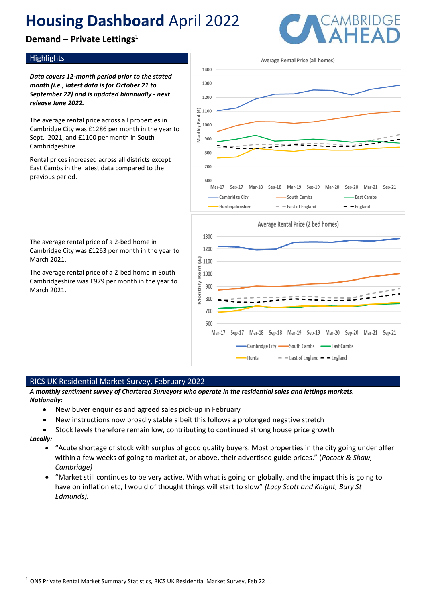**Demand – Private Lettings<sup>1</sup>**

### Highlights

*Data covers 12-month period prior to the stated month (i.e., latest data is for October 21 to September 22) and is updated biannually - next release June 2022.* 

The average rental price across all properties in Cambridge City was £1286 per month in the year to Sept. 2021, and £1100 per month in South Cambridgeshire

Rental prices increased across all districts except East Cambs in the latest data compared to the previous period.

The average rental price of a 2-bed home in Cambridge City was £1263 per month in the year to March 2021.

The average rental price of a 2-bed home in South Cambridgeshire was £979 per month in the year to March 2021.



### RICS UK Residential Market Survey, February 2022

*A monthly sentiment survey of Chartered Surveyors who operate in the residential sales and lettings markets. Nationally:*

- New buyer enquiries and agreed sales pick-up in February
- New instructions now broadly stable albeit this follows a prolonged negative stretch
- Stock levels therefore remain low, contributing to continued strong house price growth

*Locally:*

- "Acute shortage of stock with surplus of good quality buyers. Most properties in the city going under offer within a few weeks of going to market at, or above, their advertised guide prices." (*Pocock & Shaw, Cambridge)*
- "Market still continues to be very active. With what is going on globally, and the impact this is going to have on inflation etc, I would of thought things will start to slow" *(Lacy Scott and Knight, Bury St Edmunds).*

<sup>1</sup> ONS Private Rental Market Summary Statistics, RICS UK Residential Market Survey, Feb 22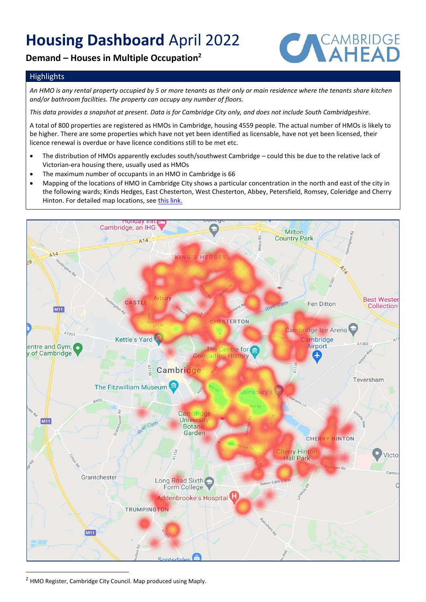## **Demand – Houses in Multiple Occupation<sup>2</sup>**



### **Highlights**

*An HMO is any rental property occupied by 5 or more tenants as their only or main residence where the tenants share kitchen and/or bathroom facilities. The property can occupy any number of floors.* 

*This data provides a snapshot at present. Data is for Cambridge City only, and does not include South Cambridgeshire.* 

A total of 800 properties are registered as HMOs in Cambridge, housing 4559 people. The actual number of HMOs is likely to be higher. There are some properties which have not yet been identified as licensable, have not yet been licensed, their licence renewal is overdue or have licence conditions still to be met etc.

- The distribution of HMOs apparently excludes south/southwest Cambridge could this be due to the relative lack of Victorian-era housing there, usually used as HMOs
- The maximum number of occupants in an HMO in Cambridge is 66
- Mapping of the locations of HMO in Cambridge City shows a particular concentration in the north and east of the city in the following wards; Kinds Hedges, East Chesterton, West Chesterton, Abbey, Petersfield, Romsey, Coleridge and Cherry Hinton. For detailed map locations, see [this link.](https://www.google.com/maps/d/edit?mid=1vTDmX53hK1PCM20cw97dFgsNwx6y4oP9&ll=52.19966781357731%2C0.1436184499999893&z=12)



<sup>2</sup> HMO Register, Cambridge City Council. Map produced using Maply.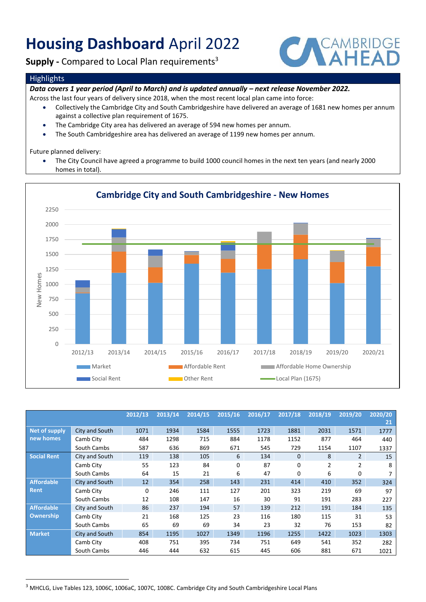**Supply** - Compared to Local Plan requirements<sup>3</sup>



#### **Highlights**

*Data covers 1 year period (April to March) and is updated annually - next release November 2022.* 

- Across the last four years of delivery since 2018, when the most recent local plan came into force:
	- Collectively the Cambridge City and South Cambridgeshire have delivered an average of 1681 new homes per annum against a collective plan requirement of 1675.
	- The Cambridge City area has delivered an average of 594 new homes per annum.
	- The South Cambridgeshire area has delivered an average of 1199 new homes per annum.

Future planned delivery:

• The City Council have agreed a programme to build 1000 council homes in the next ten years (and nearly 2000 homes in total).



## **Cambridge City and South Cambridgeshire - New Homes**

|                                |                | 2012/13 | 2013/14 | 2014/15 | 2015/16 | 2016/17 | 2017/18 | 2018/19        | 2019/20        | 2020/20 |
|--------------------------------|----------------|---------|---------|---------|---------|---------|---------|----------------|----------------|---------|
|                                |                |         |         |         |         |         |         |                |                | 21      |
| Net of supply<br>new homes     | City and South | 1071    | 1934    | 1584    | 1555    | 1723    | 1881    | 2031           | 1571           | 1777    |
|                                | Camb City      | 484     | 1298    | 715     | 884     | 1178    | 1152    | 877            | 464            | 440     |
|                                | South Cambs    | 587     | 636     | 869     | 671     | 545     | 729     | 1154           | 1107           | 1337    |
| <b>Social Rent</b>             | City and South | 119     | 138     | 105     | 6       | 134     | 0       | 8              | 2              | 15      |
|                                | Camb City      | 55      | 123     | 84      | 0       | 87      | 0       | $\overline{2}$ | $\overline{2}$ | 8       |
|                                | South Cambs    | 64      | 15      | 21      | 6       | 47      | 0       | 6              | 0              |         |
| <b>Affordable</b><br>Rent      | City and South | 12      | 354     | 258     | 143     | 231     | 414     | 410            | 352            | 324     |
|                                | Camb City      | 0       | 246     | 111     | 127     | 201     | 323     | 219            | 69             | 97      |
|                                | South Cambs    | 12      | 108     | 147     | 16      | 30      | 91      | 191            | 283            | 227     |
| <b>Affordable</b><br>Ownership | City and South | 86      | 237     | 194     | 57      | 139     | 212     | 191            | 184            | 135     |
|                                | Camb City      | 21      | 168     | 125     | 23      | 116     | 180     | 115            | 31             | 53      |
|                                | South Cambs    | 65      | 69      | 69      | 34      | 23      | 32      | 76             | 153            | 82      |
| <b>Market</b>                  | City and South | 854     | 1195    | 1027    | 1349    | 1196    | 1255    | 1422           | 1023           | 1303    |
|                                | Camb City      | 408     | 751     | 395     | 734     | 751     | 649     | 541            | 352            | 282     |
|                                | South Cambs    | 446     | 444     | 632     | 615     | 445     | 606     | 881            | 671            | 1021    |

<sup>&</sup>lt;sup>3</sup> MHCLG, Live Tables 123, 1006C, 1006aC, 1007C, 1008C. Cambridge City and South Cambridgeshire Local Plans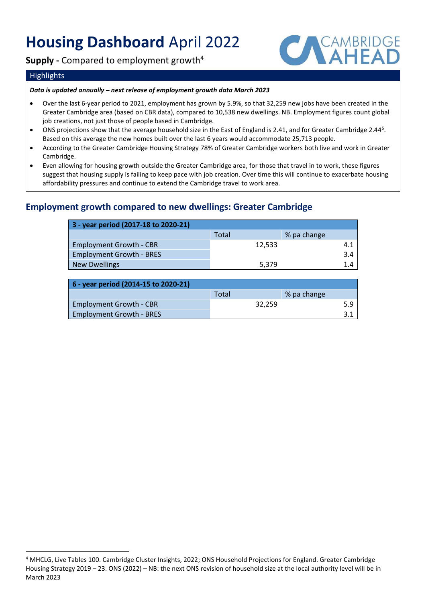**Supply -** Compared to employment growth<sup>4</sup>



### **Highlights**

#### *Data is updated annually – next release of employment growth data March 2023*

- Over the last 6-year period to 2021, employment has grown by 5.9%, so that 32,259 new jobs have been created in the Greater Cambridge area (based on CBR data), compared to 10,538 new dwellings. NB. Employment figures count global job creations, not just those of people based in Cambridge.
- ONS projections show that the average household size in the East of England is 2.41, and for Greater Cambridge 2.44<sup>5</sup>. Based on this average the new homes built over the last 6 years would accommodate 25,713 people.
- According to the Greater Cambridge Housing Strategy 78% of Greater Cambridge workers both live and work in Greater Cambridge.
- Even allowing for housing growth outside the Greater Cambridge area, for those that travel in to work, these figures suggest that housing supply is failing to keep pace with job creation. Over time this will continue to exacerbate housing affordability pressures and continue to extend the Cambridge travel to work area.

## **Employment growth compared to new dwellings: Greater Cambridge**

| 3 - year period (2017-18 to 2020-21) |        |             |  |  |  |  |  |
|--------------------------------------|--------|-------------|--|--|--|--|--|
|                                      | Total  | % pa change |  |  |  |  |  |
| <b>Employment Growth - CBR</b>       | 12,533 | 4.1         |  |  |  |  |  |
| <b>Employment Growth - BRES</b>      |        | 3.4         |  |  |  |  |  |
| <b>New Dwellings</b>                 | 5.379  |             |  |  |  |  |  |

| 6 - year period (2014-15 to 2020-21) |       |        |             |     |  |  |  |
|--------------------------------------|-------|--------|-------------|-----|--|--|--|
|                                      | Total |        | % pa change |     |  |  |  |
| <b>Employment Growth - CBR</b>       |       | 32.259 |             | 5.9 |  |  |  |
| <b>Employment Growth - BRES</b>      |       |        |             |     |  |  |  |

<sup>4</sup> MHCLG, Live Tables 100. Cambridge Cluster Insights, 2022; ONS Household Projections for England. Greater Cambridge Housing Strategy 2019 – 23. [ONS \(2022\)](https://www.ons.gov.uk/peoplepopulationandcommunity/birthsdeathsandmarriages/families/datasets/householdsbyhouseholdsizeregionsofenglandandukconstituentcountries) – NB: the next ONS revision of household size at the local authority level will be in March 2023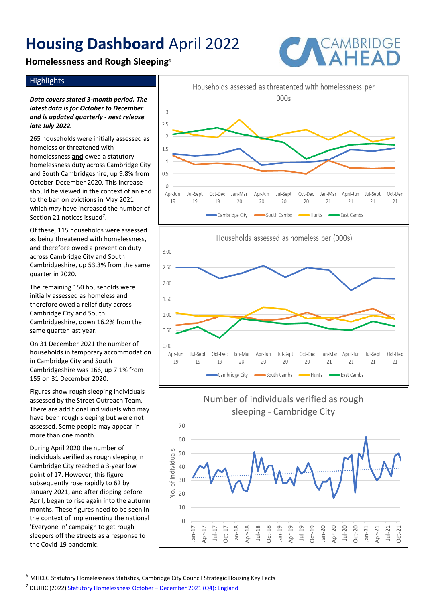## **Homelessness and Rough Sleeping**<sup>6</sup>



### **Highlights**

*Data covers stated 3-month period. The latest data is for October to December and is updated quarterly - next release late July 2022.*

265 households were initially assessed as homeless or threatened with homelessness **and** owed a statutory homelessness duty across Cambridge City and South Cambridgeshire, up 9.8% from October-December 2020. This increase should be viewed in the context of an end to the ban on evictions in May 2021 which *may* have increased the number of Section 21 notices issued<sup>7</sup>.

Of these, 115 households were assessed as being threatened with homelessness, and therefore owed a prevention duty across Cambridge City and South Cambridgeshire, up 53.3% from the same quarter in 2020.

The remaining 150 households were initially assessed as homeless and therefore owed a relief duty across Cambridge City and South Cambridgeshire, down 16.2% from the same quarter last year.

On 31 December 2021 the number of households in temporary accommodation in Cambridge City and South Cambridgeshire was 166, up 7.1% from 155 on 31 December 2020.

Figures show rough sleeping individuals assessed by the Street Outreach Team. There are additional individuals who may have been rough sleeping but were not assessed. Some people may appear in more than one month.

During April 2020 the number of individuals verified as rough sleeping in Cambridge City reached a 3-year low point of 17. However, this figure subsequently rose rapidly to 62 by January 2021, and after dipping before April, began to rise again into the autumn months. These figures need to be seen in the context of implementing the national 'Everyone In' campaign to get rough sleepers off the streets as a response to the Covid-19 pandemic.



 $6$  MHCLG Statutory Homelessness Statistics, Cambridge City Council Strategic Housing Key Facts

<sup>&</sup>lt;sup>7</sup> DLUHC (2022) [Statutory Homelessness October](https://assets.publishing.service.gov.uk/government/uploads/system/uploads/attachment_data/file/1072068/Statutory_Homelessness_Stats_Release_Oct-Dec_2021.pdf) - December 2021 (Q4): England